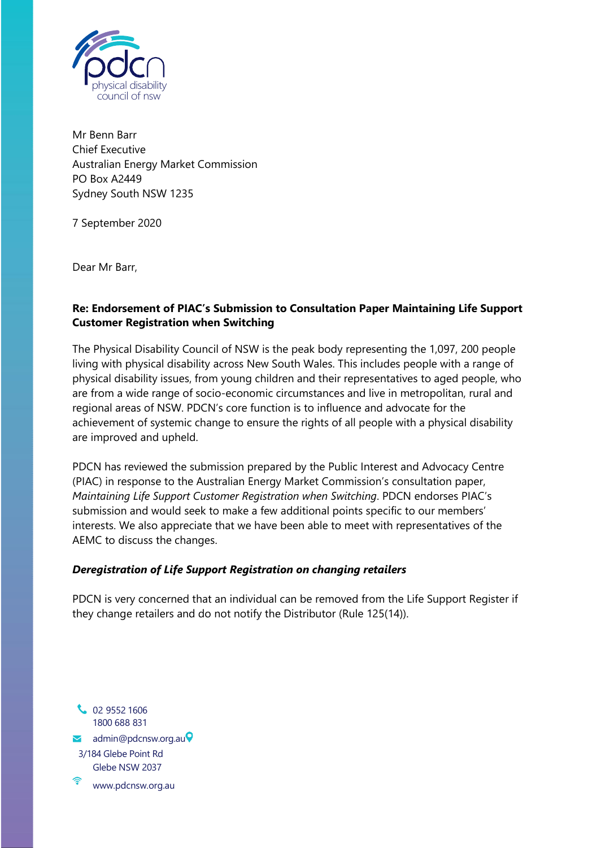

Mr Benn Barr Chief Executive Australian Energy Market Commission PO Box A2449 Sydney South NSW 1235

7 September 2020

Dear Mr Barr,

## **Re: Endorsement of PIAC's Submission to Consultation Paper Maintaining Life Support Customer Registration when Switching**

The Physical Disability Council of NSW is the peak body representing the 1,097, 200 people living with physical disability across New South Wales. This includes people with a range of physical disability issues, from young children and their representatives to aged people, who are from a wide range of socio-economic circumstances and live in metropolitan, rural and regional areas of NSW. PDCN's core function is to influence and advocate for the achievement of systemic change to ensure the rights of all people with a physical disability are improved and upheld.

PDCN has reviewed the submission prepared by the Public Interest and Advocacy Centre (PIAC) in response to the Australian Energy Market Commission's consultation paper, *Maintaining Life Support Customer Registration when Switching*. PDCN endorses PIAC's submission and would seek to make a few additional points specific to our members' interests. We also appreciate that we have been able to meet with representatives of the AEMC to discuss the changes.

## *Deregistration of Life Support Registration on changing retailers*

PDCN is very concerned that an individual can be removed from the Life Support Register if they change retailers and do not notify the Distributor (Rule 125(14)).

**C** 02 9552 1606 1800 688 831  $\blacktriangleright$  [admin@pdcnsw.org.au](mailto:admin@pdcnsw.org.au) $\blacktriangleright$ 3/184 Glebe Point Rd Glebe NSW 203[7](http://www.pdcnsw.org.au/) [www.pdcnsw.org.au](http://www.pdcnsw.org.au/)